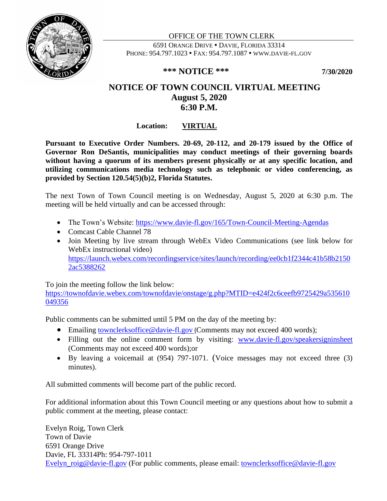

OFFICE OF THE TOWN CLERK 6591 ORANGE DRIVE DAVIE, FLORIDA 33314 PHONE: 954.797.1023 • FAX: 954.797.1087 • WWW.DAVIE-FL.GOV

## **\*\*\* NOTICE \*\*\* 7/30/2020**

# **NOTICE OF TOWN COUNCIL VIRTUAL MEETING August 5, 2020 6:30 P.M.**

## **Location: VIRTUAL**

**Pursuant to Executive Order Numbers. 20-69, 20-112, and 20-179 issued by the Office of Governor Ron DeSantis, municipalities may conduct meetings of their governing boards without having a quorum of its members present physically or at any specific location, and utilizing communications media technology such as telephonic or video conferencing, as provided by Section 120.54(5)(b)2, Florida Statutes.**

The next Town of Town Council meeting is on Wednesday, August 5, 2020 at 6:30 p.m. The meeting will be held virtually and can be accessed through:

- The Town's Website:<https://www.davie-fl.gov/165/Town-Council-Meeting-Agendas>
- Comcast Cable Channel 78
- Join Meeting by live stream through WebEx Video Communications (see link below for WebEx instructional video) [https://launch.webex.com/recordingservice/sites/launch/recording/ee0cb1f2344c41b58b2150](https://launch.webex.com/recordingservice/sites/launch/recording/ee0cb1f2344c41b58b21502ac5388262) [2ac5388262](https://launch.webex.com/recordingservice/sites/launch/recording/ee0cb1f2344c41b58b21502ac5388262)

To join the meeting follow the link below:

[https://townofdavie.webex.com/townofdavie/onstage/g.php?MTID=e424f2c6ceefb9725429a535610](https://townofdavie.webex.com/townofdavie/onstage/g.php?MTID=e424f2c6ceefb9725429a535610049356) [049356](https://townofdavie.webex.com/townofdavie/onstage/g.php?MTID=e424f2c6ceefb9725429a535610049356)

Public comments can be submitted until 5 PM on the day of the meeting by:

- Emailing [townclerksoffice@davie-fl.gov](mailto:townclerksoffice@davie-fl.gov) (Comments may not exceed 400 words);
- Filling out the online comment form by visiting: [www.davie-fl.gov/speakersigninsheet](http://www.davie-fl.gov/speakersigninsheet) (Comments may not exceed 400 words);or
- By leaving a voicemail at (954) 797-1071. (Voice messages may not exceed three (3) minutes).

All submitted comments will become part of the public record.

For additional information about this Town Council meeting or any questions about how to submit a public comment at the meeting, please contact:

Evelyn Roig, Town Clerk Town of Davie 6591 Orange Drive Davie, FL 33314Ph: 954-797-1011 [Evelyn\\_roig@davie-fl.gov](mailto:Evelyn_roig@davie-fl.gov) (For public comments, please email: [townclerksoffice@davie-fl.gov](mailto:townclerksoffice@davie-fl.gov)